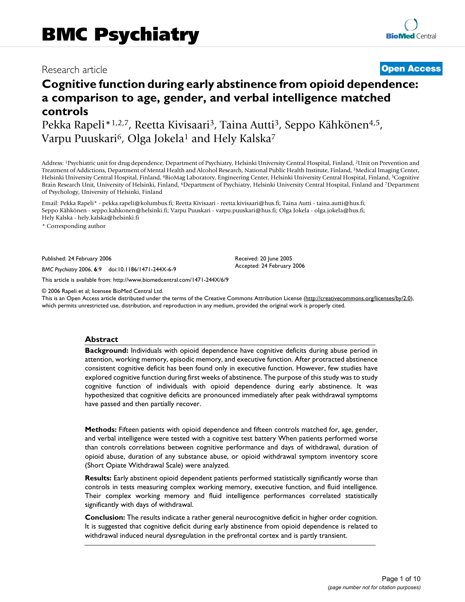# Research article **[Open Access](http://www.biomedcentral.com/info/about/charter/)**

# **Cognitive function during early abstinence from opioid dependence: a comparison to age, gender, and verbal intelligence matched controls**

Pekka Rapeli<sup>\*1,2,7</sup>, Reetta Kivisaari<sup>3</sup>, Taina Autti<sup>3</sup>, Seppo Kähkönen<sup>4,5</sup>, Varpu Puuskari<sup>6</sup>, Olga Jokela<sup>1</sup> and Hely Kalska<sup>7</sup>

Address: 1Psychiatric unit for drug dependence, Department of Psychiatry, Helsinki University Central Hospital, Finland, 2Unit on Prevention and Treatment of Addictions, Department of Mental Health and Alcohol Research, National Public Health Institute, Finland, 3Medical Imaging Center, Helsinki University Central Hospital, Finland, 4BioMag Laboratory, Engineering Center, Helsinki University Central Hospital, Finland, 5Cognitive Brain Research Unit, University of Helsinki, Finland, 6Department of Psychiatry, Helsinki University Central Hospital, Finland and 7Department of Psychology, University of Helsinki, Finland

Email: Pekka Rapeli\* - pekka.rapeli@kolumbus.fi; Reetta Kivisaari - reetta.kivisaari@hus.fi; Taina Autti - taina.autti@hus.fi; Seppo Kähkönen - seppo.kahkonen@helsinki.fi; Varpu Puuskari - varpu.puuskari@hus.fi; Olga Jokela - olga.jokela@hus.fi; Hely Kalska - hely.kalska@helsinki.fi

\* Corresponding author

Published: 24 February 2006

*BMC Psychiatry* 2006, **6**:9 doi:10.1186/1471-244X-6-9

[This article is available from: http://www.biomedcentral.com/1471-244X/6/9](http://www.biomedcentral.com/1471-244X/6/9)

© 2006 Rapeli et al; licensee BioMed Central Ltd.

This is an Open Access article distributed under the terms of the Creative Commons Attribution License [\(http://creativecommons.org/licenses/by/2.0\)](http://creativecommons.org/licenses/by/2.0), which permits unrestricted use, distribution, and reproduction in any medium, provided the original work is properly cited.

Received: 20 June 2005 Accepted: 24 February 2006

#### **Abstract**

**Background:** Individuals with opioid dependence have cognitive deficits during abuse period in attention, working memory, episodic memory, and executive function. After protracted abstinence consistent cognitive deficit has been found only in executive function. However, few studies have explored cognitive function during first weeks of abstinence. The purpose of this study was to study cognitive function of individuals with opioid dependence during early abstinence. It was hypothesized that cognitive deficits are pronounced immediately after peak withdrawal symptoms have passed and then partially recover.

**Methods:** Fifteen patients with opioid dependence and fifteen controls matched for, age, gender, and verbal intelligence were tested with a cognitive test battery When patients performed worse than controls correlations between cognitive performance and days of withdrawal, duration of opioid abuse, duration of any substance abuse, or opioid withdrawal symptom inventory score (Short Opiate Withdrawal Scale) were analyzed.

**Results:** Early abstinent opioid dependent patients performed statistically significantly worse than controls in tests measuring complex working memory, executive function, and fluid intelligence. Their complex working memory and fluid intelligence performances correlated statistically significantly with days of withdrawal.

**Conclusion:** The results indicate a rather general neurocognitive deficit in higher order cognition. It is suggested that cognitive deficit during early abstinence from opioid dependence is related to withdrawal induced neural dysregulation in the prefrontal cortex and is partly transient.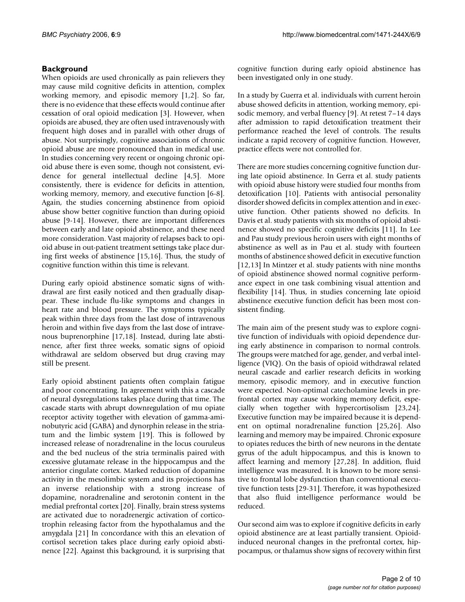# **Background**

When opioids are used chronically as pain relievers they may cause mild cognitive deficits in attention, complex working memory, and episodic memory [1,2]. So far, there is no evidence that these effects would continue after cessation of oral opioid medication [3]. However, when opioids are abused, they are often used intravenously with frequent high doses and in parallel with other drugs of abuse. Not surprisingly, cognitive associations of chronic opioid abuse are more pronounced than in medical use. In studies concerning very recent or ongoing chronic opioid abuse there is even some, though not consistent, evidence for general intellectual decline [4,5]. More consistently, there is evidence for deficits in attention, working memory, memory, and executive function [6-8]. Again, the studies concerning abstinence from opioid abuse show better cognitive function than during opioid abuse [9-14]. However, there are important differences between early and late opioid abstinence, and these need more consideration. Vast majority of relapses back to opioid abuse in out-patient treatment settings take place during first weeks of abstinence [15,16]. Thus, the study of cognitive function within this time is relevant.

During early opioid abstinence somatic signs of withdrawal are first easily noticed and then gradually disappear. These include flu-like symptoms and changes in heart rate and blood pressure. The symptoms typically peak within three days from the last dose of intravenous heroin and within five days from the last dose of intravenous buprenorphine [17,18]. Instead, during late abstinence, after first three weeks, somatic signs of opioid withdrawal are seldom observed but drug craving may still be present.

Early opioid abstinent patients often complain fatigue and poor concentrating. In agreement with this a cascade of neural dysregulations takes place during that time. The cascade starts with abrupt downregulation of mu opiate receptor activity together with elevation of gamma-aminobutyric acid (GABA) and dynorphin release in the striatum and the limbic system [19]. This is followed by increased release of noradrenaline in the locus couruleus and the bed nucleus of the stria terminalis paired with excessive glutamate release in the hippocampus and the anterior cingulate cortex. Marked reduction of dopamine activity in the mesolimbic system and its projections has an inverse relationship with a strong increase of dopamine, noradrenaline and serotonin content in the medial prefrontal cortex [20]. Finally, brain stress systems are activated due to noradrenergic activation of corticotrophin releasing factor from the hypothalamus and the amygdala [21] In concordance with this an elevation of cortisol secretion takes place during early opioid abstinence [22]. Against this background, it is surprising that

cognitive function during early opioid abstinence has been investigated only in one study.

In a study by Guerra et al. individuals with current heroin abuse showed deficits in attention, working memory, episodic memory, and verbal fluency [9]. At retest 7–14 days after admission to rapid detoxification treatment their performance reached the level of controls. The results indicate a rapid recovery of cognitive function. However, practice effects were not controlled for.

There are more studies concerning cognitive function during late opioid abstinence. In Gerra et al. study patients with opioid abuse history were studied four months from detoxification [10]. Patients with antisocial personality disorder showed deficits in complex attention and in executive function. Other patients showed no deficits. In Davis et al. study patients with six months of opioid abstinence showed no specific cognitive deficits [11]. In Lee and Pau study previous heroin users with eight months of abstinence as well as in Pau et al. study with fourteen months of abstinence showed deficit in executive function [12,13] In Mintzer et al. study patients with nine months of opioid abstinence showed normal cognitive performance expect in one task combining visual attention and flexibility [14]. Thus, in studies concerning late opioid abstinence executive function deficit has been most consistent finding.

The main aim of the present study was to explore cognitive function of individuals with opioid dependence during early abstinence in comparison to normal controls. The groups were matched for age, gender, and verbal intelligence (VIQ). On the basis of opioid withdrawal related neural cascade and earlier research deficits in working memory, episodic memory, and in executive function were expected. Non-optimal catecholamine levels in prefrontal cortex may cause working memory deficit, especially when together with hypercortisolism [23,24]. Executive function may be impaired because it is dependent on optimal noradrenaline function [25,26]. Also learning and memory may be impaired. Chronic exposure to opiates reduces the birth of new neurons in the dentate gyrus of the adult hippocampus, and this is known to affect learning and memory [27,28]. In addition, fluid intelligence was measured. It is known to be more sensitive to frontal lobe dysfunction than conventional executive function tests [29-31]. Therefore, it was hypothesized that also fluid intelligence performance would be reduced.

Our second aim was to explore if cognitive deficits in early opioid abstinence are at least partially transient. Opioidinduced neuronal changes in the prefrontal cortex, hippocampus, or thalamus show signs of recovery within first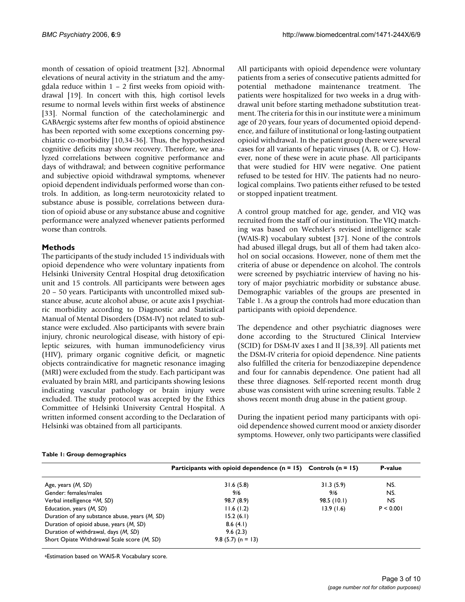month of cessation of opioid treatment [32]. Abnormal elevations of neural activity in the striatum and the amygdala reduce within  $1 - 2$  first weeks from opioid withdrawal [19]. In concert with this, high cortisol levels resume to normal levels within first weeks of abstinence [33]. Normal function of the catecholaminergic and GABAergic systems after few months of opioid abstinence has been reported with some exceptions concerning psychiatric co-morbidity [10,34-36]. Thus, the hypothesized cognitive deficits may show recovery. Therefore, we analyzed correlations between cognitive performance and days of withdrawal; and between cognitive performance and subjective opioid withdrawal symptoms, whenever opioid dependent individuals performed worse than controls. In addition, as long-term neurotoxicity related to substance abuse is possible, correlations between duration of opioid abuse or any substance abuse and cognitive performance were analyzed whenever patients performed worse than controls.

# **Methods**

The participants of the study included 15 individuals with opioid dependence who were voluntary inpatients from Helsinki University Central Hospital drug detoxification unit and 15 controls. All participants were between ages 20 – 50 years. Participants with uncontrolled mixed substance abuse, acute alcohol abuse, or acute axis I psychiatric morbidity according to Diagnostic and Statistical Manual of Mental Disorders (DSM-IV) not related to substance were excluded. Also participants with severe brain injury, chronic neurological disease, with history of epileptic seizures, with human immunodeficiency virus (HIV), primary organic cognitive deficit, or magnetic objects contraindicative for magnetic resonance imaging (MRI) were excluded from the study. Each participant was evaluated by brain MRI, and participants showing lesions indicating vascular pathology or brain injury were excluded. The study protocol was accepted by the Ethics Committee of Helsinki University Central Hospital. A written informed consent according to the Declaration of Helsinki was obtained from all participants.

All participants with opioid dependence were voluntary patients from a series of consecutive patients admitted for potential methadone maintenance treatment. The patients were hospitalized for two weeks in a drug withdrawal unit before starting methadone substitution treatment. The criteria for this in our institute were a minimum age of 20 years, four years of documented opioid dependence, and failure of institutional or long-lasting outpatient opioid withdrawal. In the patient group there were several cases for all variants of hepatic viruses (A, B, or C). However, none of these were in acute phase. All participants that were studied for HIV were negative. One patient refused to be tested for HIV. The patients had no neurological complains. Two patients either refused to be tested or stopped inpatient treatment.

A control group matched for age, gender, and VIQ was recruited from the staff of our institution. The VIQ matching was based on Wechsler's revised intelligence scale (WAIS-R) vocabulary subtest [37]. None of the controls had abused illegal drugs, but all of them had taken alcohol on social occasions. However, none of them met the criteria of abuse or dependence on alcohol. The controls were screened by psychiatric interview of having no history of major psychiatric morbidity or substance abuse. Demographic variables of the groups are presented in Table 1. As a group the controls had more education than participants with opioid dependence.

The dependence and other psychiatric diagnoses were done according to the Structured Clinical Interview (SCID) for DSM-IV axes I and II [38,39]. All patients met the DSM-IV criteria for opioid dependence. Nine patients also fulfilled the criteria for benzodiazepine dependence and four for cannabis dependence. One patient had all these three diagnoses. Self-reported recent month drug abuse was consistent with urine screening results. Table 2 shows recent month drug abuse in the patient group.

During the inpatient period many participants with opioid dependence showed current mood or anxiety disorder symptoms. However, only two participants were classified

|                                                | Participants with opioid dependence $(n = 15)$ Controls $(n = 15)$ |             | P-value   |
|------------------------------------------------|--------------------------------------------------------------------|-------------|-----------|
| Age, years ( <i>M, SD</i> )                    | 31.6(5.8)                                                          | 31.3(5.9)   | NS.       |
| Gender: females/males                          | 9/6                                                                | 9/6         | NS.       |
| Verbal intelligence ª(M, SD)                   | 98.7 (8.9)                                                         | 98.5 (10.1) | <b>NS</b> |
| Education, years (M, SD)                       | 11.6(1.2)                                                          | 13.9(1.6)   | P < 0.001 |
| Duration of any substance abuse, years (M, SD) | 15.2(6.1)                                                          |             |           |
| Duration of opioid abuse, years (M, SD)        | 8.6(4.1)                                                           |             |           |
| Duration of withdrawal, days (M, SD)           | 9.6(2.3)                                                           |             |           |
| Short Opiate Withdrawal Scale score (M, SD)    | $9.8$ (5.7) (n = 13)                                               |             |           |
|                                                |                                                                    |             |           |

# **Table 1: Group demographics**

aEstimation based on WAIS-R Vocabulary score.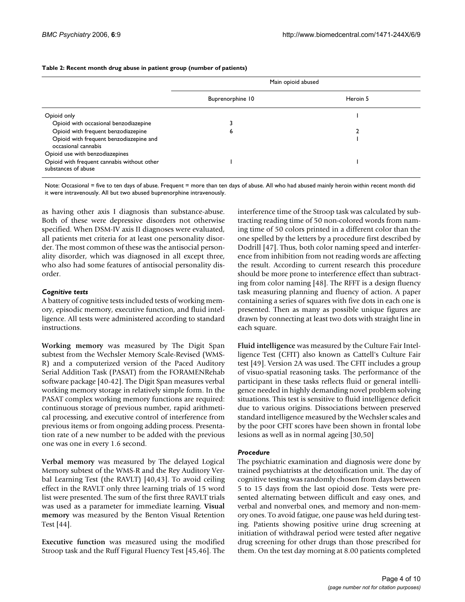|                                                                    | Main opioid abused |          |  |
|--------------------------------------------------------------------|--------------------|----------|--|
|                                                                    | Buprenorphine 10   | Heroin 5 |  |
| Opioid only                                                        |                    |          |  |
| Opioid with occasional benzodiazepine                              |                    |          |  |
| Opioid with frequent benzodiazepine                                | ь                  |          |  |
| Opioid with frequent benzodiazepine and<br>occasional cannabis     |                    |          |  |
| Opioid use with benzodiazepines                                    |                    |          |  |
| Opioid with frequent cannabis without other<br>substances of abuse |                    |          |  |

**Table 2: Recent month drug abuse in patient group (number of patients)**

Note: Occasional = five to ten days of abuse. Frequent = more than ten days of abuse. All who had abused mainly heroin within recent month did it were intravenously. All but two abused buprenorphine intravenously.

as having other axis I diagnosis than substance-abuse. Both of these were depressive disorders not otherwise specified. When DSM-IV axis II diagnoses were evaluated, all patients met criteria for at least one personality disorder. The most common of these was the antisocial personality disorder, which was diagnosed in all except three, who also had some features of antisocial personality disorder.

#### *Cognitive tests*

A battery of cognitive tests included tests of working memory, episodic memory, executive function, and fluid intelligence. All tests were administered according to standard instructions.

**Working memory** was measured by The Digit Span subtest from the Wechsler Memory Scale-Revised (WMS-R) and a computerized version of the Paced Auditory Serial Addition Task (PASAT) from the FORAMENRehab software package [40-42]. The Digit Span measures verbal working memory storage in relatively simple form. In the PASAT complex working memory functions are required: continuous storage of previous number, rapid arithmetical processing, and executive control of interference from previous items or from ongoing adding process. Presentation rate of a new number to be added with the previous one was one in every 1.6 second.

**Verbal memory** was measured by The delayed Logical Memory subtest of the WMS-R and the Rey Auditory Verbal Learning Test (the RAVLT) [40,43]. To avoid ceiling effect in the RAVLT only three learning trials of 15 word list were presented. The sum of the first three RAVLT trials was used as a parameter for immediate learning. **Visual memory** was measured by the Benton Visual Retention Test [44].

**Executive function** was measured using the modified Stroop task and the Ruff Figural Fluency Test [45,46]. The interference time of the Stroop task was calculated by subtracting reading time of 50 non-colored words from naming time of 50 colors printed in a different color than the one spelled by the letters by a procedure first described by Dodrill [47]. Thus, both color naming speed and interference from inhibition from not reading words are affecting the result. According to current research this procedure should be more prone to interference effect than subtracting from color naming [48]. The RFFT is a design fluency task measuring planning and fluency of action. A paper containing a series of squares with five dots in each one is presented. Then as many as possible unique figures are drawn by connecting at least two dots with straight line in each square.

**Fluid intelligence** was measured by the Culture Fair Intelligence Test (CFIT) also known as Cattell's Culture Fair test [49]. Version 2A was used. The CFIT includes a group of visuo-spatial reasoning tasks. The performance of the participant in these tasks reflects fluid or general intelligence needed in highly demanding novel problem solving situations. This test is sensitive to fluid intelligence deficit due to various origins. Dissociations between preserved standard intelligence measured by the Wechsler scales and by the poor CFIT scores have been shown in frontal lobe lesions as well as in normal ageing [30,50]

#### *Procedure*

The psychiatric examination and diagnosis were done by trained psychiatrists at the detoxification unit. The day of cognitive testing was randomly chosen from days between 5 to 15 days from the last opioid dose. Tests were presented alternating between difficult and easy ones, and verbal and nonverbal ones, and memory and non-memory ones. To avoid fatigue, one pause was held during testing. Patients showing positive urine drug screening at initiation of withdrawal period were tested after negative drug screening for other drugs than those prescribed for them. On the test day morning at 8.00 patients completed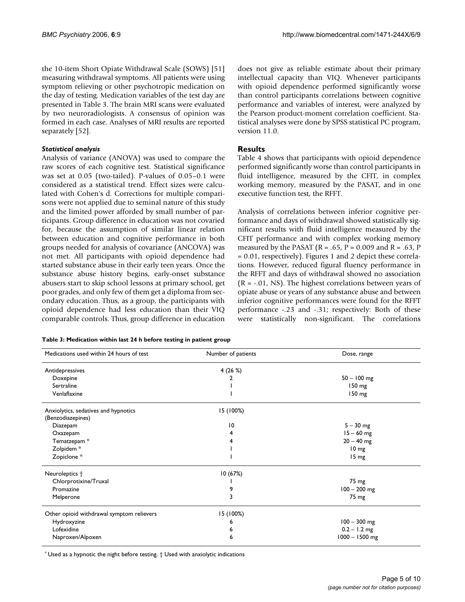the 10-item Short Opiate Withdrawal Scale (SOWS) [51] measuring withdrawal symptoms. All patients were using symptom relieving or other psychotropic medication on the day of testing. Medication variables of the test day are presented in Table 3. The brain MRI scans were evaluated by two neuroradiologists. A consensus of opinion was formed in each case. Analyses of MRI results are reported separately [52].

# *Statistical analysis*

Analysis of variance (ANOVA) was used to compare the raw scores of each cognitive test. Statistical significance was set at 0.05 (two-tailed). P-values of 0.05–0.1 were considered as a statistical trend. Effect sizes were calculated with Cohen's d. Corrections for multiple comparisons were not applied due to seminal nature of this study and the limited power afforded by small number of participants. Group difference in education was not covaried for, because the assumption of similar linear relation between education and cognitive performance in both groups needed for analysis of covariance (ANCOVA) was not met. All participants with opioid dependence had started substance abuse in their early teen years. Once the substance abuse history begins, early-onset substance abusers start to skip school lessons at primary school, get poor grades, and only few of them get a diploma from secondary education. Thus, as a group, the participants with opioid dependence had less education than their VIQ comparable controls. Thus, group difference in education does not give as reliable estimate about their primary intellectual capacity than VIQ. Whenever participants with opioid dependence performed significantly worse than control participants correlations between cognitive performance and variables of interest, were analyzed by the Pearson product-moment correlation coefficient. Statistical analyses were done by SPSS statistical PC program, version 11.0.

# **Results**

Table 4 shows that participants with opioid dependence performed significantly worse than control participants in fluid intelligence, measured by the CFIT, in complex working memory, measured by the PASAT, and in one executive function test, the RFFT.

Analysis of correlations between inferior cognitive performance and days of withdrawal showed statistically significant results with fluid intelligence measured by the CFIT performance and with complex working memory measured by the PASAT ( $R = .65$ ,  $P = 0.009$  and  $R = .63$ ,  $P = 0.009$ = 0.01, respectively). Figures 1 and 2 depict these correlations. However, reduced figural fluency performance in the RFFT and days of withdrawal showed no association  $(R = -.01, NS)$ . The highest correlations between years of opiate abuse or years of any substance abuse and between inferior cognitive performances were found for the RFFT performance -.23 and -.31; respectively: Both of these were statistically non-significant. The correlations

| Medications used within 24 hours of test                  | Number of patients | Dose, range      |
|-----------------------------------------------------------|--------------------|------------------|
| Antidepressives                                           | 4(26%)             |                  |
| Doxepine                                                  |                    | $50 - 100$ mg    |
| Sertraline                                                |                    | 150 mg           |
| Venlaflaxine                                              |                    | 150 mg           |
| Anxiolytics, sedatives and hypnotics<br>(Benzodiazepines) | 15 (100%)          |                  |
| Diazepam                                                  | $\overline{10}$    | $5 - 30$ mg      |
| Oxazepam                                                  | 4                  | $15 - 60$ mg     |
| Tematzepam <sup>*</sup>                                   |                    | $20 - 40$ mg     |
| Zolpidem*                                                 |                    | 10 <sub>mg</sub> |
| Zopiclone*                                                |                    | $15 \text{ mg}$  |
| Neuroleptics +                                            | 10(67%)            |                  |
| Chlorprotixine/Truxal                                     |                    | 75 mg            |
| Promazine                                                 | 9                  | $100 - 200$ mg   |
| Melperone                                                 | 3                  | 75 mg            |
| Other opioid withdrawal symptom relievers                 | 15 (100%)          |                  |
| Hydroxyzine                                               | 6                  | $100 - 300$ mg   |
| Lofexidine                                                | 6                  | $0.2 - 1.2$ mg   |
| Naproxen/Alpoxen                                          | 6                  | $1000 - 1500$ mg |

**Table 3: Medication within last 24 h before testing in patient group**

\* Used as a hypnotic the night before testing. † Used with anxiolytic indications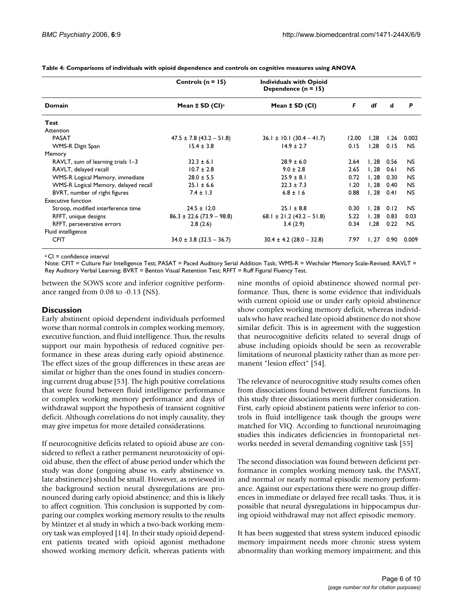|                                      | Controls ( $n = 15$ )           | <b>Individuals with Opioid</b><br>Dependence $(n = 15)$ |       |      |      |           |
|--------------------------------------|---------------------------------|---------------------------------------------------------|-------|------|------|-----------|
| Domain                               | Mean $\pm$ SD (CI) <sup>a</sup> | Mean $±$ SD (CI)                                        | F     | df   | d    | P         |
| <b>Test</b>                          |                                 |                                                         |       |      |      |           |
| Attention                            |                                 |                                                         |       |      |      |           |
| <b>PASAT</b>                         | $47.5 \pm 7.8 (43.2 - 51.8)$    | $36.1 \pm 10.1 (30.4 - 41.7)$                           | 12.00 | 1,28 | 1.26 | 0.002     |
| WMS-R Digit Span                     | $15.4 \pm 3.8$                  | $14.9 \pm 2.7$                                          | 0.15  | 1,28 | 0.15 | <b>NS</b> |
| Memory                               |                                 |                                                         |       |      |      |           |
| RAVLT, sum of learning trials 1-3    | $32.3 \pm 6.1$                  | $28.9 \pm 6.0$                                          | 2.64  | 1,28 | 0.56 | <b>NS</b> |
| RAVLT, delayed recall                | $10.7 \pm 2.8$                  | $9.0 \pm 2.8$                                           | 2.65  | 1,28 | 0.61 | <b>NS</b> |
| WMS-R Logical Memory, immediate      | $28.0 \pm 5.5$                  | $25.9 \pm 8.1$                                          | 0.72  | 1,28 | 0.30 | <b>NS</b> |
| WMS-R Logical Memory, delayed recall | $25.1 \pm 6.6$                  | $22.3 \pm 7.3$                                          | 1.20  | 1.28 | 0.40 | <b>NS</b> |
| BVRT, number of right figures        | $7.4 \pm 1.3$                   | $6.8 \pm 1.6$                                           | 0.88  | 1,28 | 0.41 | <b>NS</b> |
| <b>Executive function</b>            |                                 |                                                         |       |      |      |           |
| Stroop, modified interference time   | $24.5 \pm 12.0$                 | $25.1 \pm 8.8$                                          | 0.30  | 1,28 | 0.12 | <b>NS</b> |
| RFFT, unique designs                 | $86.3 \pm 22.6 (73.9 - 98.8)$   | 68.1 ± 21.2 (43.2 – 51.8)                               | 5.22  | 1,28 | 0.83 | 0.03      |
| RFFT, perseverative errors           | 2.8(2.6)                        | 3.4(2.9)                                                | 0.34  | 1,28 | 0.22 | NS.       |
| Fluid intelligence                   |                                 |                                                         |       |      |      |           |
| <b>CFIT</b>                          | $34.0 \pm 3.8$ (32.5 – 36.7)    | $30.4 \pm 4.2$ (28.0 - 32.8)                            | 7.97  | 1.27 | 0.90 | 0.009     |

#### **Table 4: Comparisons of individuals with opioid dependence and controls on cognitive measures using ANOVA**

a CI = confidence interval

Note: CFIT = Culture Fair Intelligence Test; PASAT = Paced Auditory Serial Addition Task; WMS-R = Wechsler Memory Scale-Revised; RAVLT = Rey Auditory Verbal Learning; BVRT = Benton Visual Retention Test; RFFT = Ruff Figural Fluency Test.

between the SOWS score and inferior cognitive performance ranged from 0.08 to -0.13 (NS).

#### **Discussion**

Early abstinent opioid dependent individuals performed worse than normal controls in complex working memory, executive function, and fluid intelligence. Thus, the results support our main hypothesis of reduced cognitive performance in these areas during early opioid abstinence. The effect sizes of the group differences in these areas are similar or higher than the ones found in studies concerning current drug abuse [53]. The high positive correlations that were found between fluid intelligence performance or complex working memory performance and days of withdrawal support the hypothesis of transient cognitive deficit. Although correlations do not imply causality, they may give impetus for more detailed considerations.

If neurocognitive deficits related to opioid abuse are considered to reflect a rather permanent neurotoxicity of opioid abuse, then the effect of abuse period under which the study was done (ongoing abuse vs. early abstinence vs. late abstinence) should be small. However, as reviewed in the background section neural dysregulations are pronounced during early opioid abstinence; and this is likely to affect cognition. This conclusion is supported by comparing our complex working memory results to the results by Mintzer et al study in which a two-back working memory task was employed [14]. In their study opioid dependent patients treated with opioid agonist methadone showed working memory deficit, whereas patients with

nine months of opioid abstinence showed normal performance. Thus, there is some evidence that individuals with current opioid use or under early opioid abstinence show complex working memory deficit, whereas individuals who have reached late opioid abstinence do not show similar deficit. This is in agreement with the suggestion that neurocognitive deficits related to several drugs of abuse including opioids should be seen as recoverable limitations of neuronal plasticity rather than as more permanent "lesion effect" [54].

The relevance of neurocognitive study results comes often from dissociations found between different functions. In this study three dissociations merit further consideration. First, early opioid abstinent patients were inferior to controls in fluid intelligence task though the groups were matched for VIQ. According to functional neuroimaging studies this indicates deficiencies in frontoparietal networks needed in several demanding cognitive task [55]

The second dissociation was found between deficient performance in complex working memory task, the PASAT, and normal or nearly normal episodic memory performance. Against our expectations there were no group differences in immediate or delayed free recall tasks. Thus, it is possible that neural dysregulations in hippocampus during opioid withdrawal may not affect episodic memory.

It has been suggested that stress system induced episodic memory impairment needs more chronic stress system abnormality than working memory impairment; and this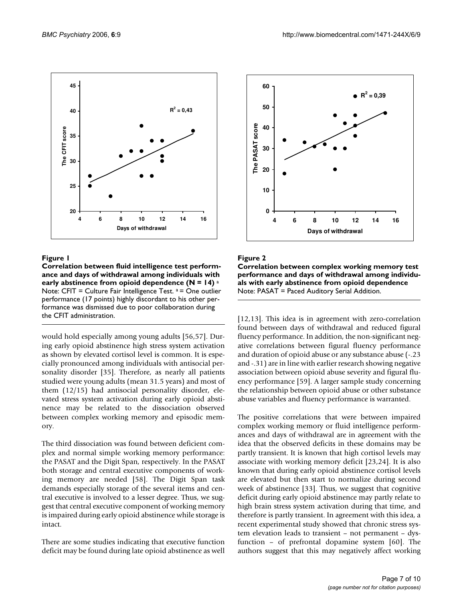

#### Figure I

**Correlation between fluid intelligence test performance and days of withdrawal among individuals with early abstinence from opioid dependence (N = 14)** <sup>a</sup> Note: CFIT = Culture Fair Intelligence Test. a = One outlier performance (17 points) highly discordant to his other performance was dismissed due to poor collaboration during the CFIT administration.

would hold especially among young adults [56,57]. During early opioid abstinence high stress system activation as shown by elevated cortisol level is common. It is especially pronounced among individuals with antisocial personality disorder [35]. Therefore, as nearly all patients studied were young adults (mean 31.5 years) and most of them (12/15) had antisocial personality disorder, elevated stress system activation during early opioid abstinence may be related to the dissociation observed between complex working memory and episodic memory.

The third dissociation was found between deficient complex and normal simple working memory performance: the PASAT and the Digit Span, respectively. In the PASAT both storage and central executive components of working memory are needed [58]. The Digit Span task demands especially storage of the several items and central executive is involved to a lesser degree. Thus, we suggest that central executive component of working memory is impaired during early opioid abstinence while storage is intact.

There are some studies indicating that executive function deficit may be found during late opioid abstinence as well



#### Figure 2

**Correlation between complex working memory test performance and days of withdrawal among individuals with early abstinence from opioid dependence**  Note: PASAT = Paced Auditory Serial Addition.

[12,13]. This idea is in agreement with zero-correlation found between days of withdrawal and reduced figural fluency performance. In addition, the non-significant negative correlations between figural fluency performance and duration of opioid abuse or any substance abuse (-.23 and -.31) are in line with earlier research showing negative association between opioid abuse severity and figural fluency performance [59]. A larger sample study concerning the relationship between opioid abuse or other substance abuse variables and fluency performance is warranted.

The positive correlations that were between impaired complex working memory or fluid intelligence performances and days of withdrawal are in agreement with the idea that the observed deficits in these domains may be partly transient. It is known that high cortisol levels may associate with working memory deficit [23,24]. It is also known that during early opioid abstinence cortisol levels are elevated but then start to normalize during second week of abstinence [33]. Thus, we suggest that cognitive deficit during early opioid abstinence may partly relate to high brain stress system activation during that time, and therefore is partly transient. In agreement with this idea, a recent experimental study showed that chronic stress system elevation leads to transient – not permanent – dysfunction – of prefrontal dopamine system [60]. The authors suggest that this may negatively affect working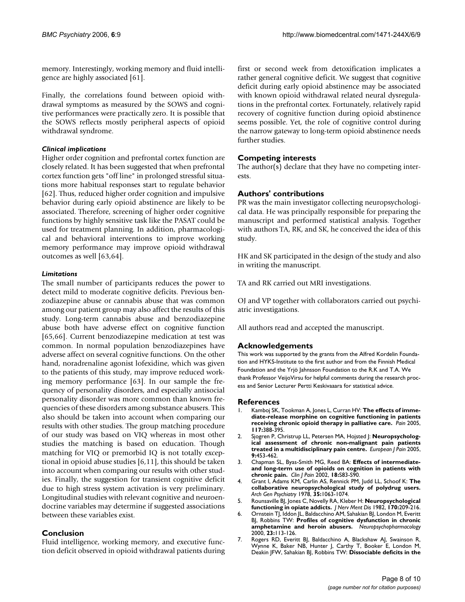memory. Interestingly, working memory and fluid intelligence are highly associated [61].

Finally, the correlations found between opioid withdrawal symptoms as measured by the SOWS and cognitive performances were practically zero. It is possible that the SOWS reflects mostly peripheral aspects of opioid withdrawal syndrome.

## *Clinical implications*

Higher order cognition and prefrontal cortex function are closely related. It has been suggested that when prefrontal cortex function gets "off line" in prolonged stressful situations more habitual responses start to regulate behavior [62]. Thus, reduced higher order cognition and impulsive behavior during early opioid abstinence are likely to be associated. Therefore, screening of higher order cognitive functions by highly sensitive task like the PASAT could be used for treatment planning. In addition, pharmacological and behavioral interventions to improve working memory performance may improve opioid withdrawal outcomes as well [63,64].

#### *Limitations*

The small number of participants reduces the power to detect mild to moderate cognitive deficits. Previous benzodiazepine abuse or cannabis abuse that was common among our patient group may also affect the results of this study. Long-term cannabis abuse and benzodiazepine abuse both have adverse effect on cognitive function [65,66]. Current benzodiazepine medication at test was common. In normal population benzodiazepines have adverse affect on several cognitive functions. On the other hand, noradrenaline agonist lofexidine, which was given to the patients of this study, may improve reduced working memory performance [63]. In our sample the frequency of personality disorders, and especially antisocial personality disorder was more common than known frequencies of these disorders among substance abusers. This also should be taken into account when comparing our results with other studies. The group matching procedure of our study was based on VIQ whereas in most other studies the matching is based on education. Though matching for VIQ or premorbid IQ is not totally exceptional in opioid abuse studies [6,11], this should be taken into account when comparing our results with other studies. Finally, the suggestion for transient cognitive deficit due to high stress system activation is very preliminary. Longitudinal studies with relevant cognitive and neuroendocrine variables may determine if suggested associations between these variables exist.

# **Conclusion**

Fluid intelligence, working memory, and executive function deficit observed in opioid withdrawal patients during first or second week from detoxification implicates a rather general cognitive deficit. We suggest that cognitive deficit during early opioid abstinence may be associated with known opioid withdrawal related neural dysregulations in the prefrontal cortex. Fortunately, relatively rapid recovery of cognitive function during opioid abstinence seems possible. Yet, the role of cognitive control during the narrow gateway to long-term opioid abstinence needs further studies.

# **Competing interests**

The author(s) declare that they have no competing interests.

# **Authors' contributions**

PR was the main investigator collecting neuropsychological data. He was principally responsible for preparing the manuscript and performed statistical analysis. Together with authors TA, RK, and SK, he conceived the idea of this study.

HK and SK participated in the design of the study and also in writing the manuscript.

TA and RK carried out MRI investigations.

OJ and VP together with collaborators carried out psychiatric investigations.

All authors read and accepted the manuscript.

# **Acknowledgements**

This work was supported by the grants from the Alfred Kordelin Foundation and HYKS-Institute to the first author and from the Finnish Medical Foundation and the Yrjö Jahnsson Foundation to the R.K and T.A. We thank Professor VeijoVirsu for helpful comments during the research process and Senior Lecturer Pertti Keskivaaara for statistical advice.

# **References**

- 1. Kamboj SK, Tookman A, Jones L, Curran HV: **[The effects of imme](http://www.ncbi.nlm.nih.gov/entrez/query.fcgi?cmd=Retrieve&db=PubMed&dopt=Abstract&list_uids=16198201)[diate-release morphine on cognitive functioning in patients](http://www.ncbi.nlm.nih.gov/entrez/query.fcgi?cmd=Retrieve&db=PubMed&dopt=Abstract&list_uids=16198201) [receiving chronic opioid therapy in palliative care.](http://www.ncbi.nlm.nih.gov/entrez/query.fcgi?cmd=Retrieve&db=PubMed&dopt=Abstract&list_uids=16198201)** *Pain* 2005, **117:**388-395.
- 2. Sjogren P, Christrup LL, Petersen MA, Hojsted J: **Neuropsychological assessment of chronic non-malignant pain patients treated in a multidisciplinary pain centre.** *European J Pain* 2005, **9:**453-462.
- 3. Chapman SL, Byas-Smith MG, Reed BA: **[Effects of intermediate](http://www.ncbi.nlm.nih.gov/entrez/query.fcgi?cmd=Retrieve&db=PubMed&dopt=Abstract&list_uids=12479258)[and long-term use of opioids on cognition in patients with](http://www.ncbi.nlm.nih.gov/entrez/query.fcgi?cmd=Retrieve&db=PubMed&dopt=Abstract&list_uids=12479258) [chronic pain.](http://www.ncbi.nlm.nih.gov/entrez/query.fcgi?cmd=Retrieve&db=PubMed&dopt=Abstract&list_uids=12479258)** *Clin J Pain* 2002, **18:**S83-S90.
- 4. Grant I, Adams KM, Carlin AS, Rennick PM, Judd LL, Schoof K: **The collaborative neuropsychological study of polydrug users.** *Arch Gen Psychiatry* 1978, **35:**1063-1074.
- 5. Rounsaville BJ, Jones C, Novelly RA, Kleber H: **[Neuropsychological](http://www.ncbi.nlm.nih.gov/entrez/query.fcgi?cmd=Retrieve&db=PubMed&dopt=Abstract&list_uids=7062007) [functioning in opiate addicts.](http://www.ncbi.nlm.nih.gov/entrez/query.fcgi?cmd=Retrieve&db=PubMed&dopt=Abstract&list_uids=7062007)** *J Nerv Ment Dis* 1982, **170:**209-216.
- 6. Ornstein TJ, Iddon JL, Baldacchino AM, Sahakian BJ, London M, Everitt BJ, Robbins TW: **[Profiles of cognitive dysfunction in chronic](http://www.ncbi.nlm.nih.gov/entrez/query.fcgi?cmd=Retrieve&db=PubMed&dopt=Abstract&list_uids=10882838) [amphetamine and heroin abusers.](http://www.ncbi.nlm.nih.gov/entrez/query.fcgi?cmd=Retrieve&db=PubMed&dopt=Abstract&list_uids=10882838)** *Neuropsychopharmacology* 2000, **23:**113-126.
- 7. Rogers RD, Everitt BJ, Baldacchino A, Blackshaw AJ, Swainson R, Wynne K, Baker NB, Hunter J, Carthy T, Booker E, London M, Deakin JFW, Sahakian BJ, Robbins TW: **[Dissociable deficits in the](http://www.ncbi.nlm.nih.gov/entrez/query.fcgi?cmd=Retrieve&db=PubMed&dopt=Abstract&list_uids=10088133)**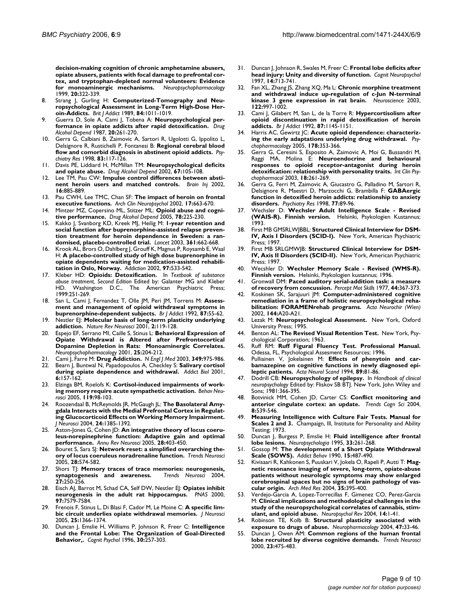**[decision-making cognition of chronic amphetamine abusers,](http://www.ncbi.nlm.nih.gov/entrez/query.fcgi?cmd=Retrieve&db=PubMed&dopt=Abstract&list_uids=10088133) opiate abusers, patients with focal damage to prefrontal cortex, and tryptophan-depleted normal volunteers: Evidence** [for monoaminergic mechanisms.](http://www.ncbi.nlm.nih.gov/entrez/query.fcgi?cmd=Retrieve&db=PubMed&dopt=Abstract&list_uids=10088133) 1999, **20:**322-339.

- 8. Strang J, Gurling H: **Computerized-Tomography and Neuropsychological Assessment in Long-Term High-Dose Heroin-Addicts.** *Brit J Addict* 1989, **84:**1011-1019.
- 9. Guerra D, Sole A, Cami J, Tobena A: **[Neuropsychological per](http://www.ncbi.nlm.nih.gov/entrez/query.fcgi?cmd=Retrieve&db=PubMed&dopt=Abstract&list_uids=3436258)[formance in opiate addicts after rapid detoxification.](http://www.ncbi.nlm.nih.gov/entrez/query.fcgi?cmd=Retrieve&db=PubMed&dopt=Abstract&list_uids=3436258)** *Drug Alcohol Depend* 1987, **20:**261-270.
- 10. Gerra G, Calbiani B, Zaimovic A, Sartori R, Ugolotti G, Ippolito L, Delsignore R, Rustichelli P, Fontanesi B: **[Regional cerebral blood](http://www.ncbi.nlm.nih.gov/entrez/query.fcgi?cmd=Retrieve&db=PubMed&dopt=Abstract&list_uids=9818737) [flow and comorbid diagnosis in abstinent opioid addicts.](http://www.ncbi.nlm.nih.gov/entrez/query.fcgi?cmd=Retrieve&db=PubMed&dopt=Abstract&list_uids=9818737)** *Psychiatry Res* 1998, **83:**117-126.
- 11. Davis PE, Liddiard H, McMillan TM: **[Neuropsychological deficits](http://www.ncbi.nlm.nih.gov/entrez/query.fcgi?cmd=Retrieve&db=PubMed&dopt=Abstract&list_uids=12062785) [and opiate abuse.](http://www.ncbi.nlm.nih.gov/entrez/query.fcgi?cmd=Retrieve&db=PubMed&dopt=Abstract&list_uids=12062785)** *Drug Alcohol Depend* 2002, **67:**105-108.
- 12. Lee TM, Pau CW: **[Impulse control differences between absti](http://www.ncbi.nlm.nih.gov/entrez/query.fcgi?cmd=Retrieve&db=PubMed&dopt=Abstract&list_uids=12419001)[nent heroin users and matched controls.](http://www.ncbi.nlm.nih.gov/entrez/query.fcgi?cmd=Retrieve&db=PubMed&dopt=Abstract&list_uids=12419001)** *Brain Inj* 2002, **16:**885-889.
- 13. Pau CWH, Lee TMC, Chan SF: **[The impact of heroin on frontal](http://www.ncbi.nlm.nih.gov/entrez/query.fcgi?cmd=Retrieve&db=PubMed&dopt=Abstract&list_uids=14591849) [executive functions.](http://www.ncbi.nlm.nih.gov/entrez/query.fcgi?cmd=Retrieve&db=PubMed&dopt=Abstract&list_uids=14591849)** *Arch Clin Neuropsychol* 2002, **17:**663-670.
- 14. Mintzer MZ, Copersino ML, Stitzer ML: **[Opioid abuse and cogni](http://www.ncbi.nlm.nih.gov/entrez/query.fcgi?cmd=Retrieve&db=PubMed&dopt=Abstract&list_uids=15845327)[tive performance.](http://www.ncbi.nlm.nih.gov/entrez/query.fcgi?cmd=Retrieve&db=PubMed&dopt=Abstract&list_uids=15845327)** *Drug Alcohol Depend* 2005, **78:**225-230.
- 15. Kakko J, Svanborg KD, Kreek MJ, Heilig M: **[1-year retention and](http://www.ncbi.nlm.nih.gov/entrez/query.fcgi?cmd=Retrieve&db=PubMed&dopt=Abstract&list_uids=12606177) social function after buprenorphine-assisted relapse preven[tion treatment for heroin dependence in Sweden: a ran](http://www.ncbi.nlm.nih.gov/entrez/query.fcgi?cmd=Retrieve&db=PubMed&dopt=Abstract&list_uids=12606177)[domised, placebo-controlled trial.](http://www.ncbi.nlm.nih.gov/entrez/query.fcgi?cmd=Retrieve&db=PubMed&dopt=Abstract&list_uids=12606177)** *Lancet* 2003, **361:**662-668.
- 16. Krook AL, Brors O, Dahlberg J, Grouff K, Magnus P, Roysamb E, Waal H: **[A placebo-controlled study of high dose buprenorphine in](http://www.ncbi.nlm.nih.gov/entrez/query.fcgi?cmd=Retrieve&db=PubMed&dopt=Abstract&list_uids=12033654) [opiate dependents waiting for medication-assisted rehabili](http://www.ncbi.nlm.nih.gov/entrez/query.fcgi?cmd=Retrieve&db=PubMed&dopt=Abstract&list_uids=12033654)[tation in Oslo, Norway.](http://www.ncbi.nlm.nih.gov/entrez/query.fcgi?cmd=Retrieve&db=PubMed&dopt=Abstract&list_uids=12033654)** *Addiction* 2002, **97:**533-542.
- 17. Kleber HD: **Opioids: Detoxification.** In *Textbook of substance abuse treatment, Second Edition* Edited by: Galanter MG and Kleber HD. Washington D.C., The American Psychiatric Press; 1999:251-269.
- 18. San L, Cami J, Fernandez T, Olle JM, Peri JM, Torrens M: **[Assess](http://www.ncbi.nlm.nih.gov/entrez/query.fcgi?cmd=Retrieve&db=PubMed&dopt=Abstract&list_uids=1311974)[ment and management of opioid withdrawal symptoms in](http://www.ncbi.nlm.nih.gov/entrez/query.fcgi?cmd=Retrieve&db=PubMed&dopt=Abstract&list_uids=1311974) [buprenorphine-dependent subjects.](http://www.ncbi.nlm.nih.gov/entrez/query.fcgi?cmd=Retrieve&db=PubMed&dopt=Abstract&list_uids=1311974)** *Br J Addict* 1992, **87:**55-62.
- 19. Nestler EJ: **Molecular basis of long-term plasticity underlying addiction.** *Nature Rev Neurosci* 2001, **2:**119-128.
- 20. Espejo EF, Serrano MI, Caille S, Stinus L: **[Behavioral Expression of](http://www.ncbi.nlm.nih.gov/entrez/query.fcgi?cmd=Retrieve&db=PubMed&dopt=Abstract&list_uids=11425504) [Opiate Withdrawal is Altered after Prefrontocortical](http://www.ncbi.nlm.nih.gov/entrez/query.fcgi?cmd=Retrieve&db=PubMed&dopt=Abstract&list_uids=11425504) Dopamine Depletion in Rats: Monoaminergic Correlates.** *Neuropsychopharmacology* 2001, **25:**204-212.
- 21. Cami J, Farre M: **[Drug Addiction.](http://www.ncbi.nlm.nih.gov/entrez/query.fcgi?cmd=Retrieve&db=PubMed&dopt=Abstract&list_uids=12954747)** *N Engl J Med* 2003, **349:**975-986.
- 22. Bearn J, Buntwal N, Papadopoulos A, Checkley S: **[Salivary cortisol](http://www.ncbi.nlm.nih.gov/entrez/query.fcgi?cmd=Retrieve&db=PubMed&dopt=Abstract&list_uids=11341855) [during opiate dependence and withdrawal.](http://www.ncbi.nlm.nih.gov/entrez/query.fcgi?cmd=Retrieve&db=PubMed&dopt=Abstract&list_uids=11341855)** *Addict Biol* 2001, **6:**157-162.
- 23. Elzinga BM, Roelofs K: **[Cortisol-induced impairments of work](http://www.ncbi.nlm.nih.gov/entrez/query.fcgi?cmd=Retrieve&db=PubMed&dopt=Abstract&list_uids=15727516)[ing memory require acute sympathetic activation.](http://www.ncbi.nlm.nih.gov/entrez/query.fcgi?cmd=Retrieve&db=PubMed&dopt=Abstract&list_uids=15727516)** *Behav Neurosci* 2005, **119:**98-103.
- 24. Roozendaal B, McReynolds JR, McGaugh JL: **[The Basolateral Amy](http://www.ncbi.nlm.nih.gov/entrez/query.fcgi?cmd=Retrieve&db=PubMed&dopt=Abstract&list_uids=14960610)gdala Interacts with the Medial Prefrontal Cortex in Regulat[ing Glucocorticoid Effects on Working Memory Impairment.](http://www.ncbi.nlm.nih.gov/entrez/query.fcgi?cmd=Retrieve&db=PubMed&dopt=Abstract&list_uids=14960610)** *J Neurosci* 2004, **24:**1385-1392.
- 25. Aston-Jones G, Cohen JD: **[An integrative theory of locus coeru](http://www.ncbi.nlm.nih.gov/entrez/query.fcgi?cmd=Retrieve&db=PubMed&dopt=Abstract&list_uids=16022602)[leus-norepinephrine function: Adaptive gain and optimal](http://www.ncbi.nlm.nih.gov/entrez/query.fcgi?cmd=Retrieve&db=PubMed&dopt=Abstract&list_uids=16022602) [performance.](http://www.ncbi.nlm.nih.gov/entrez/query.fcgi?cmd=Retrieve&db=PubMed&dopt=Abstract&list_uids=16022602)** *Annu Rev Neurosci* 2005, **28:**403-450.
- 26. Bouret S, Sara S|: [Network reset: a simplified overarching the](http://www.ncbi.nlm.nih.gov/entrez/query.fcgi?cmd=Retrieve&db=PubMed&dopt=Abstract&list_uids=16165227)**[ory of locus coeruleus noradrenaline function.](http://www.ncbi.nlm.nih.gov/entrez/query.fcgi?cmd=Retrieve&db=PubMed&dopt=Abstract&list_uids=16165227)** *Trends Neurosci* 2005, **28:**574-582.
- 27. Shors TJ: **[Memory traces of trace memories: neurogenesis,](http://www.ncbi.nlm.nih.gov/entrez/query.fcgi?cmd=Retrieve&db=PubMed&dopt=Abstract&list_uids=15111006)**<br>synaptogenesis and awareness. Trends Neurosci 2004, [synaptogenesis and awareness.](http://www.ncbi.nlm.nih.gov/entrez/query.fcgi?cmd=Retrieve&db=PubMed&dopt=Abstract&list_uids=15111006) **27:**250-256.
- 28. Eisch AJ, Barrot M, Schad CA, Self DW, Nestler EJ: **[Opiates inhibit](http://www.ncbi.nlm.nih.gov/entrez/query.fcgi?cmd=Retrieve&db=PubMed&dopt=Abstract&list_uids=10840056) [neurogenesis in the adult rat hippocampus.](http://www.ncbi.nlm.nih.gov/entrez/query.fcgi?cmd=Retrieve&db=PubMed&dopt=Abstract&list_uids=10840056)** *PNAS* 2000, **97:**7579-7584.
- 29. Frenois F, Stinus L, Di Blasi F, Cador M, Le Moine C: **[A specific lim](http://www.ncbi.nlm.nih.gov/entrez/query.fcgi?cmd=Retrieve&db=PubMed&dopt=Abstract&list_uids=15703390)[bic circuit underlies opiate withdrawal memories.](http://www.ncbi.nlm.nih.gov/entrez/query.fcgi?cmd=Retrieve&db=PubMed&dopt=Abstract&list_uids=15703390)** *J Neurosci* 2005, **25:**1366-1374.
- 30. Duncan J, Emslie H, Williams P, Johnson R, Freer C: **[Intelligence](http://www.ncbi.nlm.nih.gov/entrez/query.fcgi?cmd=Retrieve&db=PubMed&dopt=Abstract&list_uids=8660786) [and the Frontal Lobe: The Organization of Goal-Directed](http://www.ncbi.nlm.nih.gov/entrez/query.fcgi?cmd=Retrieve&db=PubMed&dopt=Abstract&list_uids=8660786) [Behavior,.](http://www.ncbi.nlm.nih.gov/entrez/query.fcgi?cmd=Retrieve&db=PubMed&dopt=Abstract&list_uids=8660786)** *Cognit Psychol* 1996, **30:**257-303.
- 31. Duncan J, Johnson R, Swales M, Freer C: **Frontal lobe deficits after head injury: Unity and diversity of function.** *Cognit Neuropsychol* 1997, **14:**713-741.
- 32. Fan XL, Zhang JS, Zhang XQ, Ma L: **[Chronic morphine treatment](http://www.ncbi.nlm.nih.gov/entrez/query.fcgi?cmd=Retrieve&db=PubMed&dopt=Abstract&list_uids=14643766) [and withdrawal induce up-regulation of c-Jun N-terminal](http://www.ncbi.nlm.nih.gov/entrez/query.fcgi?cmd=Retrieve&db=PubMed&dopt=Abstract&list_uids=14643766) [kinase 3 gene expression in rat brain.](http://www.ncbi.nlm.nih.gov/entrez/query.fcgi?cmd=Retrieve&db=PubMed&dopt=Abstract&list_uids=14643766)** *Neuroscience* 2003, **122:**997-1002.
- 33. Cami J, Gilabert M, San L, de la Torre R: **[Hypercortisolism after](http://www.ncbi.nlm.nih.gov/entrez/query.fcgi?cmd=Retrieve&db=PubMed&dopt=Abstract&list_uids=1511228) [opioid discontinuation in rapid detoxification of heroin](http://www.ncbi.nlm.nih.gov/entrez/query.fcgi?cmd=Retrieve&db=PubMed&dopt=Abstract&list_uids=1511228) [addicts.](http://www.ncbi.nlm.nih.gov/entrez/query.fcgi?cmd=Retrieve&db=PubMed&dopt=Abstract&list_uids=1511228)** *Br J Addict* 1992, **87:**1145-1151.
- 34. Harris AC, Gewirtz JC: **[Acute opioid dependence: characteriz](http://www.ncbi.nlm.nih.gov/entrez/query.fcgi?cmd=Retrieve&db=PubMed&dopt=Abstract&list_uids=15696323)[ing the early adaptations underlying drug withdrawal.](http://www.ncbi.nlm.nih.gov/entrez/query.fcgi?cmd=Retrieve&db=PubMed&dopt=Abstract&list_uids=15696323)** *Psychopharmacology* 2005, **178:**353-366.
- 35. Gerra G, Ceresini S, Esposito A, Zaimovic A, Moi G, Bussandri M, Raggi MA, Molina E: **[Neuroendocrine and behavioural](http://www.ncbi.nlm.nih.gov/entrez/query.fcgi?cmd=Retrieve&db=PubMed&dopt=Abstract&list_uids=12920386) [responses to opioid receptor-antagonist during heroin](http://www.ncbi.nlm.nih.gov/entrez/query.fcgi?cmd=Retrieve&db=PubMed&dopt=Abstract&list_uids=12920386) [detoxification: relationship with personality traits.](http://www.ncbi.nlm.nih.gov/entrez/query.fcgi?cmd=Retrieve&db=PubMed&dopt=Abstract&list_uids=12920386)** *Int Clin Psychopharmacol* 2003, **18:**261-269.
- 36. Gerra G, Ferri M, Zaimovic A, Giucastro G, Palladino M, Sartori R, Delsignore R, Maestri D, Marzocchi G, Brambilla F: **[GABAergic](http://www.ncbi.nlm.nih.gov/entrez/query.fcgi?cmd=Retrieve&db=PubMed&dopt=Abstract&list_uids=9541144) [function in detoxified heroin addicts: relationship to anxiety](http://www.ncbi.nlm.nih.gov/entrez/query.fcgi?cmd=Retrieve&db=PubMed&dopt=Abstract&list_uids=9541144) [disorders.](http://www.ncbi.nlm.nih.gov/entrez/query.fcgi?cmd=Retrieve&db=PubMed&dopt=Abstract&list_uids=9541144)** *Psychiatry Res* 1998, **77:**89-96.
- 37. Wechsler D: **Wechsler Adult Intelligence Scale Revised (WAIS-R). Finnish version.** Helsinki, Psykologien Kustannus; 1993.
- 38. First MB GMSRLWJBBL: **Structured Clinical Interview for DSM-IV, Axis I Disorders (SCID-I).** New York, American Psychiatric Press; 1997.
- 39. First MB SRLGMWJB: **Structured Clinical Interview for DSM-IV, Axis II Disorders (SCID-II).** New York, American Psychiatric Press; 1997.
- 40. Wecshler D: **[Wechsler Memory Scale Revised \(WMS-R\).](http://www.ncbi.nlm.nih.gov/entrez/query.fcgi?cmd=Retrieve&db=PubMed&dopt=Abstract&list_uids=8651719) [Finnish version.](http://www.ncbi.nlm.nih.gov/entrez/query.fcgi?cmd=Retrieve&db=PubMed&dopt=Abstract&list_uids=8651719)** Helsinki, Psykologien kustannus; 1996.
- 41. Gronwall DM: **[Paced auditory serial-addition task: a measure](http://www.ncbi.nlm.nih.gov/entrez/query.fcgi?cmd=Retrieve&db=PubMed&dopt=Abstract&list_uids=866038) [of recovery from concussion.](http://www.ncbi.nlm.nih.gov/entrez/query.fcgi?cmd=Retrieve&db=PubMed&dopt=Abstract&list_uids=866038)** *Percept Mot Skills* 1977, **44:**367-373.
- 42. Koskinen SK, Sarajuuri JM: **Computer-administered cognitive remediation in a frame of holistic neuropsychological rehabilitation: FORAMENrehab programs.** *Acta Neurochir (Wien)* 2002, **144:**A20-A21.
- 43. Lezak M: **Neuropsychological Assesment.** New York, Oxford University Press; 1995.
- Benton AL: The Revised Visual Retention Test. New York, Psychological Corporation; 1963.
- 45. Ruff RM: **Ruff Figural Fluency Test. Professional Manual.** Odessa, FL, Psychological Assesment Resources; 1996.
- 46. Pulliainen V, Jokelainen M: **[Effects of phenytoin and car](http://www.ncbi.nlm.nih.gov/entrez/query.fcgi?cmd=Retrieve&db=PubMed&dopt=Abstract&list_uids=8191881)[bamazepine on cognitive functions in newly diagnosed epi](http://www.ncbi.nlm.nih.gov/entrez/query.fcgi?cmd=Retrieve&db=PubMed&dopt=Abstract&list_uids=8191881)[leptic patients.](http://www.ncbi.nlm.nih.gov/entrez/query.fcgi?cmd=Retrieve&db=PubMed&dopt=Abstract&list_uids=8191881)** *Acta Neurol Scand* 1994, **89:**81-86.
- 47. Dodrill CB: **Neuropsychology of epilepsy.** In *Handbook of clinical neuropsychology* Edited by: Fliskov SB BTJ. New York, John Wiley and Sons; 1981:366-395.
- 48. Botvinick MM, Cohen JD, Carter CS: **[Conflict monitoring and](http://www.ncbi.nlm.nih.gov/entrez/query.fcgi?cmd=Retrieve&db=PubMed&dopt=Abstract&list_uids=15556023) [anterior cingulate cortex: an update.](http://www.ncbi.nlm.nih.gov/entrez/query.fcgi?cmd=Retrieve&db=PubMed&dopt=Abstract&list_uids=15556023)** *Trends Cogn Sci* 2004, **8:**539-546.
- 49. **Measuring Intelligence with Culture Fair Tests. Manual for Scales 2 and 3.** Champaign, Ill, Institute for Personality and Ability Testing; 1973.
- 50. Duncan J, Burgess P, Emslie H: **[Fluid intelligence after frontal](http://www.ncbi.nlm.nih.gov/entrez/query.fcgi?cmd=Retrieve&db=PubMed&dopt=Abstract&list_uids=7791994) [lobe lesions.](http://www.ncbi.nlm.nih.gov/entrez/query.fcgi?cmd=Retrieve&db=PubMed&dopt=Abstract&list_uids=7791994)** *Neuropsychologia* 1995, **33:**261-268.
- 51. Gossop M: **[The development of a Short Opiate Withdrawal](http://www.ncbi.nlm.nih.gov/entrez/query.fcgi?cmd=Retrieve&db=PubMed&dopt=Abstract&list_uids=2248123) [Scale \(SOWS\).](http://www.ncbi.nlm.nih.gov/entrez/query.fcgi?cmd=Retrieve&db=PubMed&dopt=Abstract&list_uids=2248123)** *Addict Behav* 1990, **15:**487-490.
- 52. Kivisaari R, Kahkonen S, Puuskari V, Jokela O, Rapeli P, Autti T: **[Mag](http://www.ncbi.nlm.nih.gov/entrez/query.fcgi?cmd=Retrieve&db=PubMed&dopt=Abstract&list_uids=15610908)netic resonance imaging of severe, long-term, opiate-abuse [patients without neurologic symptoms may show enlarged](http://www.ncbi.nlm.nih.gov/entrez/query.fcgi?cmd=Retrieve&db=PubMed&dopt=Abstract&list_uids=15610908) cerebrospinal spaces but no signs of brain pathology of vas[cular origin.](http://www.ncbi.nlm.nih.gov/entrez/query.fcgi?cmd=Retrieve&db=PubMed&dopt=Abstract&list_uids=15610908)** *Arch Med Res* 2004, **35:**395-400.
- 53. Verdejo-Garcia A, Lopez-Torrecillas F, Gimenez CO, Perez-Garcia M: **[Clinical implications and methodological challenges in the](http://www.ncbi.nlm.nih.gov/entrez/query.fcgi?cmd=Retrieve&db=PubMed&dopt=Abstract&list_uids=15260137) [study of the neuropsychological correlates of cannabis, stim](http://www.ncbi.nlm.nih.gov/entrez/query.fcgi?cmd=Retrieve&db=PubMed&dopt=Abstract&list_uids=15260137)[ulant, and opioid abuse.](http://www.ncbi.nlm.nih.gov/entrez/query.fcgi?cmd=Retrieve&db=PubMed&dopt=Abstract&list_uids=15260137)** *Neuropsychol Rev* 2004, **14:**1-41.
- 54. Robinson TE, Kolb B: **[Structural plasticity associated with](http://www.ncbi.nlm.nih.gov/entrez/query.fcgi?cmd=Retrieve&db=PubMed&dopt=Abstract&list_uids=15464124) [exposure to drugs of abuse.](http://www.ncbi.nlm.nih.gov/entrez/query.fcgi?cmd=Retrieve&db=PubMed&dopt=Abstract&list_uids=15464124)** *Neuropharmacology* 2004, **47:**33-46.
- 55. Duncan J, Owen AM: **[Common regions of the human frontal](http://www.ncbi.nlm.nih.gov/entrez/query.fcgi?cmd=Retrieve&db=PubMed&dopt=Abstract&list_uids=11006464) [lobe recruited by diverse cognitive demands.](http://www.ncbi.nlm.nih.gov/entrez/query.fcgi?cmd=Retrieve&db=PubMed&dopt=Abstract&list_uids=11006464)** *Trends Neurosci* 2000, **23:**475-483.